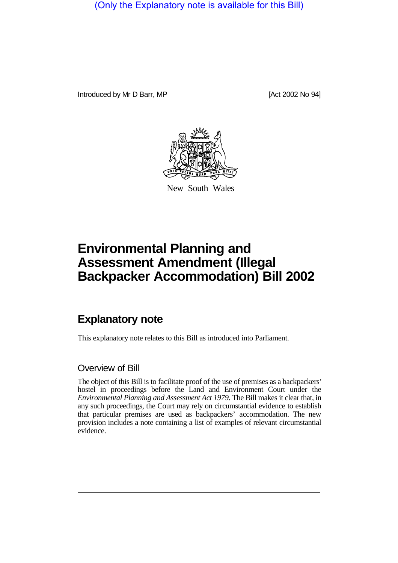(Only the Explanatory note is available for this Bill)

Introduced by Mr D Barr, MP [Act 2002 No 94]



New South Wales

# **Environmental Planning and Assessment Amendment (Illegal Backpacker Accommodation) Bill 2002**

# **Explanatory note**

This explanatory note relates to this Bill as introduced into Parliament.

#### Overview of Bill

The object of this Bill is to facilitate proof of the use of premises as a backpackers' hostel in proceedings before the Land and Environment Court under the *Environmental Planning and Assessment Act 1979*. The Bill makes it clear that, in any such proceedings, the Court may rely on circumstantial evidence to establish that particular premises are used as backpackers' accommodation. The new provision includes a note containing a list of examples of relevant circumstantial evidence.